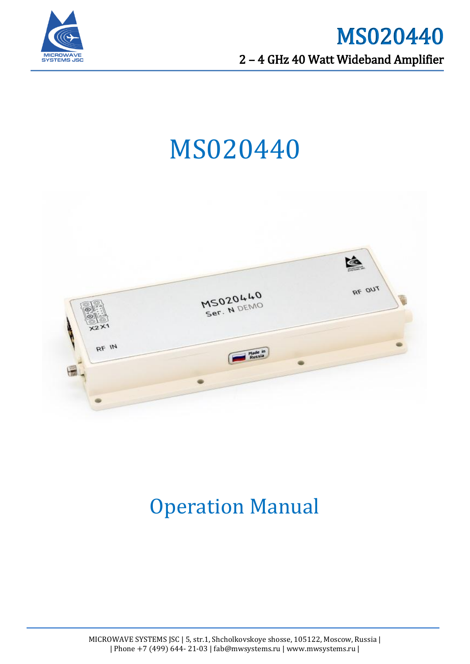



# MS020440



## Operation Manual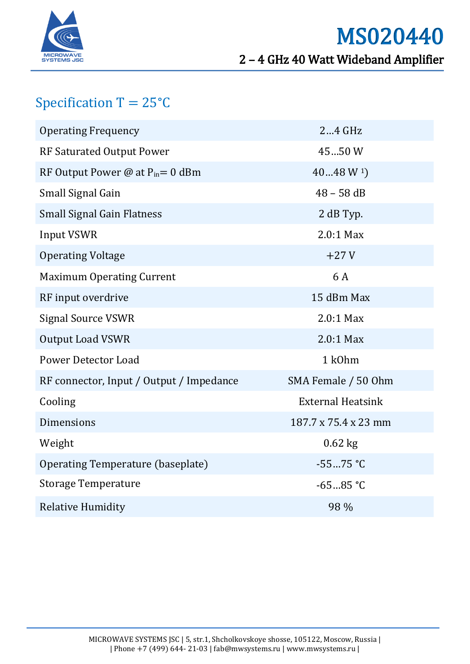

## MS020440 2 – 4 GHz 40 Watt Wideband Amplifier

### Specification  $T = 25^{\circ}C$

| <b>Operating Frequency</b>               | 24 GHz                   |
|------------------------------------------|--------------------------|
| <b>RF Saturated Output Power</b>         | 4550W                    |
| RF Output Power @ at $P_{in} = 0$ dBm    | 4048 W <sup>1</sup>      |
| Small Signal Gain                        | $48 - 58$ dB             |
| <b>Small Signal Gain Flatness</b>        | 2 dB Typ.                |
| <b>Input VSWR</b>                        | $2.0:1$ Max              |
| <b>Operating Voltage</b>                 | $+27V$                   |
| <b>Maximum Operating Current</b>         | 6 A                      |
| RF input overdrive                       | 15 dBm Max               |
| <b>Signal Source VSWR</b>                | $2.0:1$ Max              |
| <b>Output Load VSWR</b>                  | $2.0:1$ Max              |
| <b>Power Detector Load</b>               | 1 k0hm                   |
| RF connector, Input / Output / Impedance | SMA Female / 50 Ohm      |
| Cooling                                  | <b>External Heatsink</b> |
| Dimensions                               | 187.7 x 75.4 x 23 mm     |
| Weight                                   | $0.62$ kg                |
| Operating Temperature (baseplate)        | $-5575 °C$               |
| <b>Storage Temperature</b>               | $-6585$ °C               |
| <b>Relative Humidity</b>                 | 98 %                     |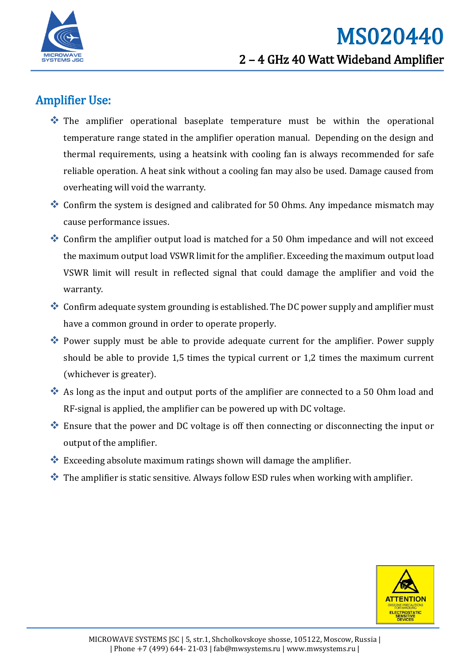

#### Amplifier Use:

- The amplifier operational baseplate temperature must be within the operational temperature range stated in the amplifier operation manual. Depending on the design and thermal requirements, using a heatsink with cooling fan is always recommended for safe reliable operation. A heat sink without a cooling fan may also be used. Damage caused from overheating will void the warranty.
- Confirm the system is designed and calibrated for 50 Ohms. Any impedance mismatch may cause performance issues.
- Confirm the amplifier output load is matched for a 50 Ohm impedance and will not exceed the maximum output load VSWR limit for the amplifier. Exceeding the maximum output load VSWR limit will result in reflected signal that could damage the amplifier and void the warranty.
- Confirm adequate system grounding is established. The DC power supply and amplifier must have a common ground in order to operate properly.
- Power supply must be able to provide adequate current for the amplifier. Power supply should be able to provide 1,5 times the typical current or 1,2 times the maximum current (whichever is greater).
- As long as the input and output ports of the amplifier are connected to a 50 Ohm load and RF-signal is applied, the amplifier can be powered up with DC voltage.
- Ensure that the power and DC voltage is off then connecting or disconnecting the input or output of the amplifier.
- $\bullet$  Exceeding absolute maximum ratings shown will damage the amplifier.
- $\cdot$  The amplifier is static sensitive. Always follow ESD rules when working with amplifier.

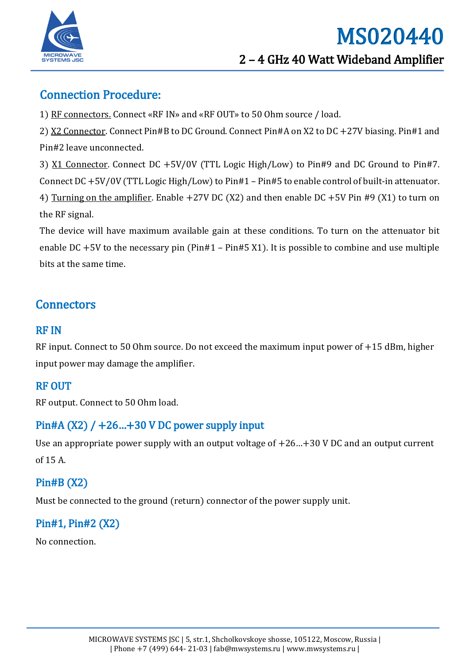

#### Connection Procedure:

1) RF connectors. Connect «RF IN» and «RF OUT» to 50 Ohm source / load.

2) X2 Connector. Connect Pin#B to DC Ground. Connect Pin#A on X2 to DC +27V biasing. Pin#1 and Pin#2 leave unconnected.

3) X1 Connector. Connect DC +5V/0V (TTL Logic High/Low) to Pin#9 and DC Ground to Pin#7. Connect DC +5V/0V (TTL Logic High/Low) to Pin#1 – Pin#5 to enable control of built-in attenuator. 4) Turning on the amplifier. Enable +27V DC (X2) and then enable DC +5V Pin #9 (X1) to turn on the RF signal.

The device will have maximum available gain at these conditions. To turn on the attenuator bit enable DC  $+5V$  to the necessary pin (Pin#1 – Pin#5 X1). It is possible to combine and use multiple bits at the same time.

#### **Connectors**

#### RF IN

RF input. Connect to 50 Ohm source. Do not exceed the maximum input power of +15 dBm, higher input power may damage the amplifier.

#### RF OUT

RF output. Connect to 50 Ohm load.

#### Pin#A (X2) / +26…+30 V DC power supply input

Use an appropriate power supply with an output voltage of +26…+30 V DC and an output current of 15 A.

#### Pin#B (X2)

Must be connected to the ground (return) connector of the power supply unit.

#### Pin#1, Pin#2 (X2)

No connection.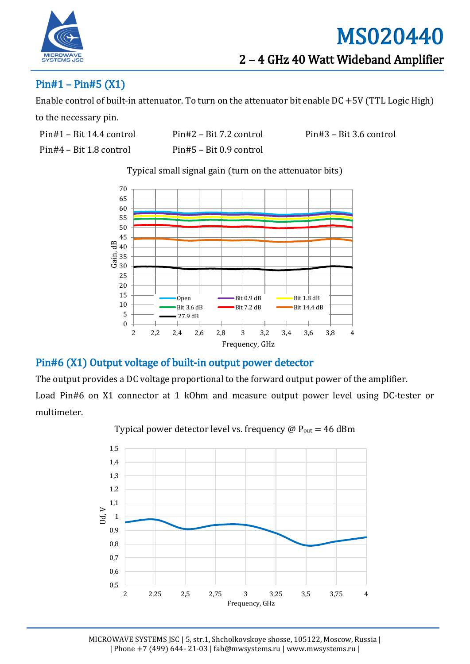

#### Pin#1 – Pin#5 (X1)

Enable control of built-in attenuator. To turn on the attenuator bit enable DC +5V (TTL Logic High)

to the necessary pin.

Pin#4 – Bit 1.8 control Pin#5 – Bit 0.9 control

Pin#1 – Bit 14.4 control Pin#2 – Bit 7.2 control Pin#3 – Bit 3.6 control

Typical small signal gain (turn on the attenuator bits)



#### Pin#6 (X1) Output voltage of built-in output power detector

The output provides a DC voltage proportional to the forward output power of the amplifier. Load Pin#6 on X1 connector at 1 kOhm and measure output power level using DC-tester or multimeter.



Typical power detector level vs. frequency  $\omega$  P<sub>out</sub> = 46 dBm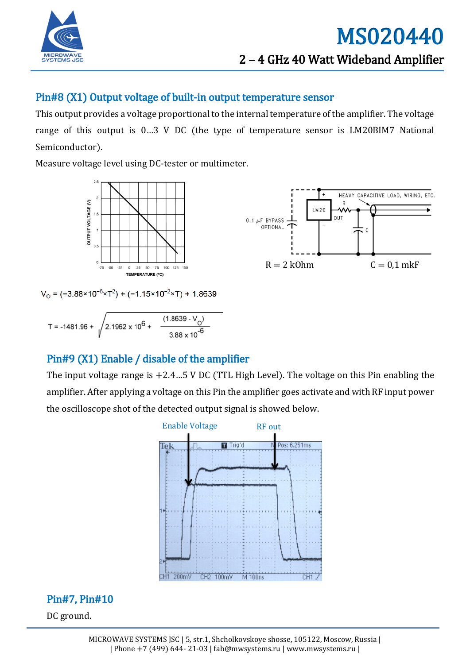

#### Pin#8 (X1) Output voltage of built-in output temperature sensor

This output provides a voltage proportional to the internal temperature of the amplifier. The voltage range of this output is 0…3 V DC (the type of temperature sensor is LM20BIM7 National Semiconductor).

Measure voltage level using DC-tester or multimeter.





 $V_0 = (-3.88 \times 10^{-6} \times T^2) + (-1.15 \times 10^{-2} \times T) + 1.8639$ 

$$
T = -1481.96 + \sqrt{2.1962 \times 10^6 + \frac{(1.8639 - V_{\odot})}{3.88 \times 10^{-6}}}
$$

#### Pin#9 (X1) Enable / disable of the amplifier

The input voltage range is  $+2.4...5$  V DC (TTL High Level). The voltage on this Pin enabling the amplifier. After applying a voltage on this Pin the amplifier goes activate and with RF input power the oscilloscope shot of the detected output signal is showed below.



#### Pin#7, Pin#10

DC ground.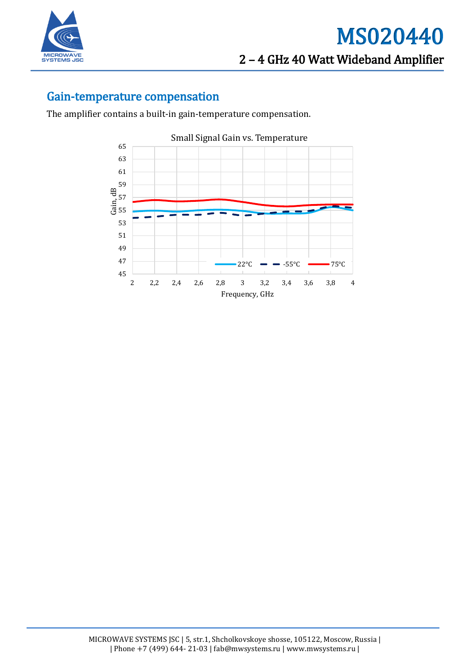

#### Gain-temperature compensation

The amplifier contains a built-in gain-temperature compensation.